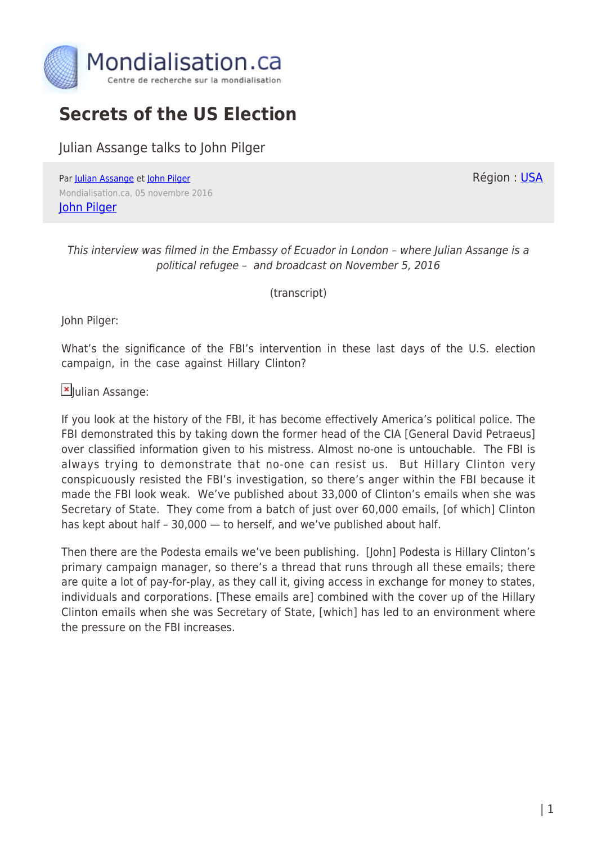

# **Secrets of the US Election**

Julian Assange talks to John Pilger

Par [Julian Assange](https://www.mondialisation.ca/author/julian-assange) et [John Pilger](https://www.mondialisation.ca/author/john-pilger) Mondialisation.ca, 05 novembre 2016 [John Pilger](http:/www.johnpilger.com)

Région : [USA](https://www.mondialisation.ca/region/usa)

This interview was filmed in the Embassy of Ecuador in London – where Julian Assange is a political refugee – and broadcast on November 5, 2016

(transcript)

John Pilger:

What's the significance of the FBI's intervention in these last days of the U.S. election campaign, in the case against Hillary Clinton?

[J](http://www.globalresearch.ca/wp-content/uploads/2016/05/Julian_Assange_1.jpg)ulian Assange:

If you look at the history of the FBI, it has become effectively America's political police. The FBI demonstrated this by taking down the former head of the CIA [General David Petraeus] over classified information given to his mistress. Almost no-one is untouchable. The FBI is always trying to demonstrate that no-one can resist us. But Hillary Clinton very conspicuously resisted the FBI's investigation, so there's anger within the FBI because it made the FBI look weak. We've published about 33,000 of Clinton's emails when she was Secretary of State. They come from a batch of just over 60,000 emails, [of which] Clinton has kept about half – 30,000 — to herself, and we've published about half.

Then there are the Podesta emails we've been publishing. [John] Podesta is Hillary Clinton's primary campaign manager, so there's a thread that runs through all these emails; there are quite a lot of pay-for-play, as they call it, giving access in exchange for money to states, individuals and corporations. [These emails are] combined with the cover up of the Hillary Clinton emails when she was Secretary of State, [which] has led to an environment where the pressure on the FBI increases.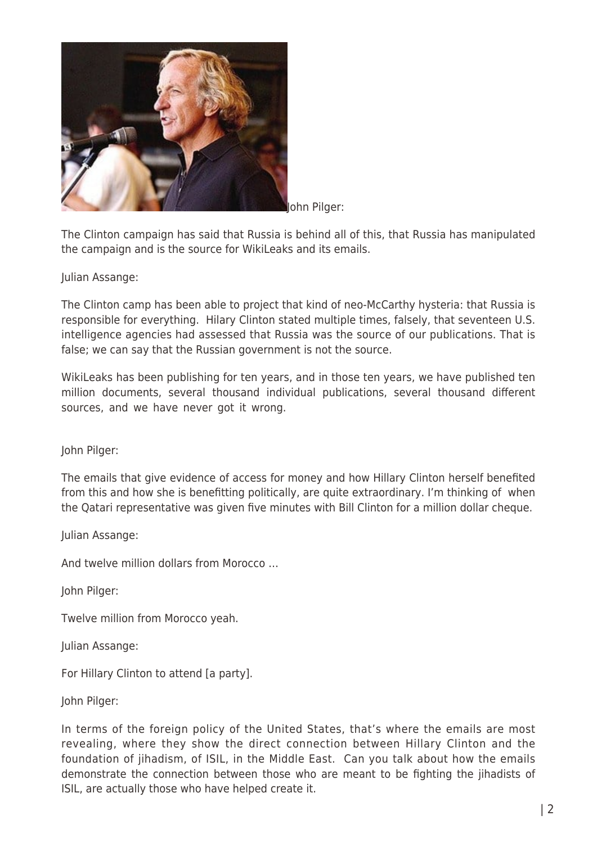

John Pilger:

The Clinton campaign has said that Russia is behind all of this, that Russia has manipulated the campaign and is the source for WikiLeaks and its emails.

#### Julian Assange:

The Clinton camp has been able to project that kind of neo-McCarthy hysteria: that Russia is responsible for everything. Hilary Clinton stated multiple times, falsely, that seventeen U.S. intelligence agencies had assessed that Russia was the source of our publications. That is false; we can say that the Russian government is not the source.

WikiLeaks has been publishing for ten years, and in those ten years, we have published ten million documents, several thousand individual publications, several thousand different sources, and we have never got it wrong.

John Pilger:

The emails that give evidence of access for money and how Hillary Clinton herself benefited from this and how she is benefitting politically, are quite extraordinary. I'm thinking of when the Qatari representative was given five minutes with Bill Clinton for a million dollar cheque.

Julian Assange:

And twelve million dollars from Morocco …

John Pilger:

Twelve million from Morocco yeah.

Julian Assange:

For Hillary Clinton to attend [a party].

John Pilger:

In terms of the foreign policy of the United States, that's where the emails are most revealing, where they show the direct connection between Hillary Clinton and the foundation of jihadism, of ISIL, in the Middle East. Can you talk about how the emails demonstrate the connection between those who are meant to be fighting the jihadists of ISIL, are actually those who have helped create it.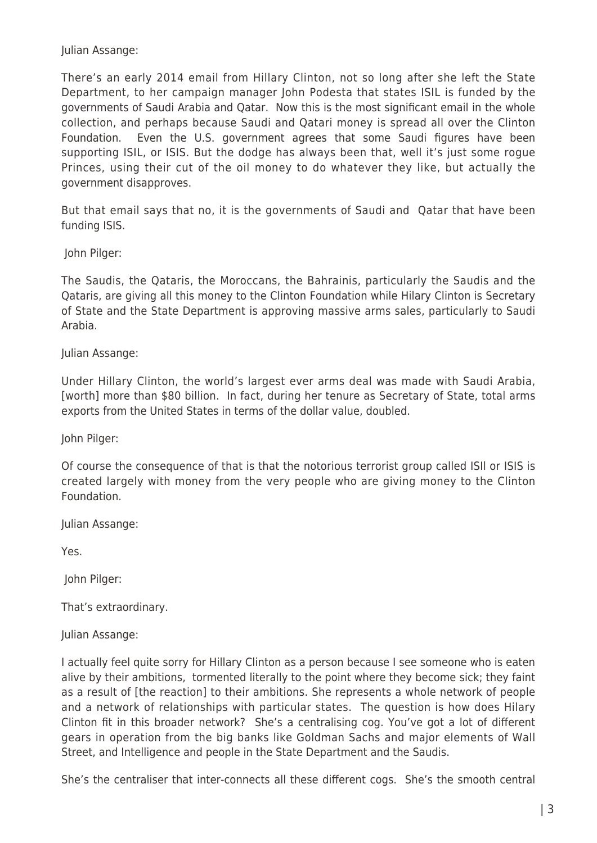Julian Assange:

There's an early 2014 email from Hillary Clinton, not so long after she left the State Department, to her campaign manager John Podesta that states ISIL is funded by the governments of Saudi Arabia and Qatar. Now this is the most significant email in the whole collection, and perhaps because Saudi and Qatari money is spread all over the Clinton Foundation. Even the U.S. government agrees that some Saudi figures have been supporting ISIL, or ISIS. But the dodge has always been that, well it's just some rogue Princes, using their cut of the oil money to do whatever they like, but actually the government disapproves.

But that email says that no, it is the governments of Saudi and Qatar that have been funding ISIS.

John Pilger:

The Saudis, the Qataris, the Moroccans, the Bahrainis, particularly the Saudis and the Qataris, are giving all this money to the Clinton Foundation while Hilary Clinton is Secretary of State and the State Department is approving massive arms sales, particularly to Saudi Arabia.

Julian Assange:

Under Hillary Clinton, the world's largest ever arms deal was made with Saudi Arabia, [worth] more than \$80 billion. In fact, during her tenure as Secretary of State, total arms exports from the United States in terms of the dollar value, doubled.

John Pilger:

Of course the consequence of that is that the notorious terrorist group called ISIl or ISIS is created largely with money from the very people who are giving money to the Clinton Foundation.

Julian Assange:

Yes.

John Pilger:

That's extraordinary.

Julian Assange:

I actually feel quite sorry for Hillary Clinton as a person because I see someone who is eaten alive by their ambitions, tormented literally to the point where they become sick; they faint as a result of [the reaction] to their ambitions. She represents a whole network of people and a network of relationships with particular states. The question is how does Hilary Clinton fit in this broader network? She's a centralising cog. You've got a lot of different gears in operation from the big banks like Goldman Sachs and major elements of Wall Street, and Intelligence and people in the State Department and the Saudis.

She's the centraliser that inter-connects all these different cogs. She's the smooth central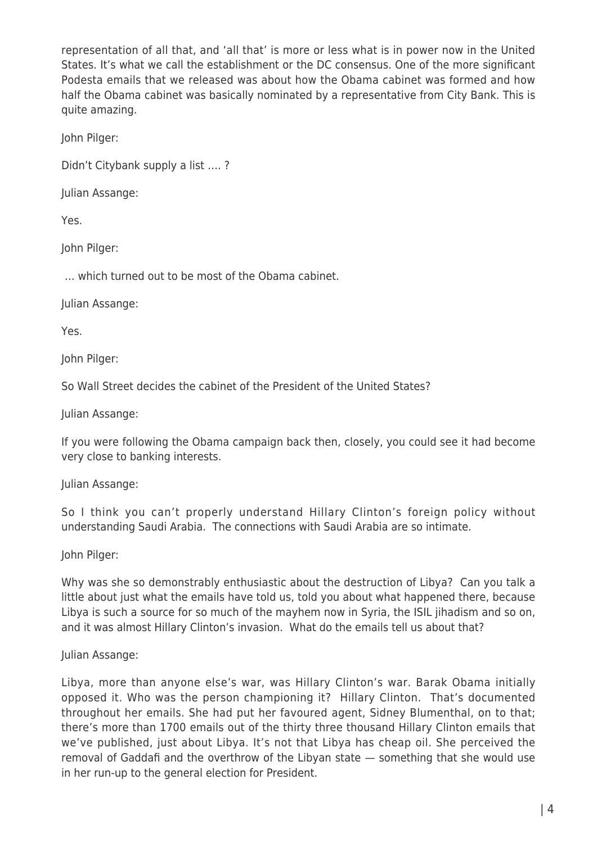representation of all that, and 'all that' is more or less what is in power now in the United States. It's what we call the establishment or the DC consensus. One of the more significant Podesta emails that we released was about how the Obama cabinet was formed and how half the Obama cabinet was basically nominated by a representative from City Bank. This is quite amazing.

John Pilger:

Didn't Citybank supply a list …. ?

Julian Assange:

Yes.

John Pilger:

… which turned out to be most of the Obama cabinet.

Julian Assange:

Yes.

John Pilger:

So Wall Street decides the cabinet of the President of the United States?

Julian Assange:

If you were following the Obama campaign back then, closely, you could see it had become very close to banking interests.

Julian Assange:

So I think you can't properly understand Hillary Clinton's foreign policy without understanding Saudi Arabia. The connections with Saudi Arabia are so intimate.

John Pilger:

Why was she so demonstrably enthusiastic about the destruction of Libya? Can you talk a little about just what the emails have told us, told you about what happened there, because Libya is such a source for so much of the mayhem now in Syria, the ISIL jihadism and so on, and it was almost Hillary Clinton's invasion. What do the emails tell us about that?

#### Julian Assange:

Libya, more than anyone else's war, was Hillary Clinton's war. Barak Obama initially opposed it. Who was the person championing it? Hillary Clinton. That's documented throughout her emails. She had put her favoured agent, Sidney Blumenthal, on to that; there's more than 1700 emails out of the thirty three thousand Hillary Clinton emails that we've published, just about Libya. It's not that Libya has cheap oil. She perceived the removal of Gaddafi and the overthrow of the Libyan state — something that she would use in her run-up to the general election for President.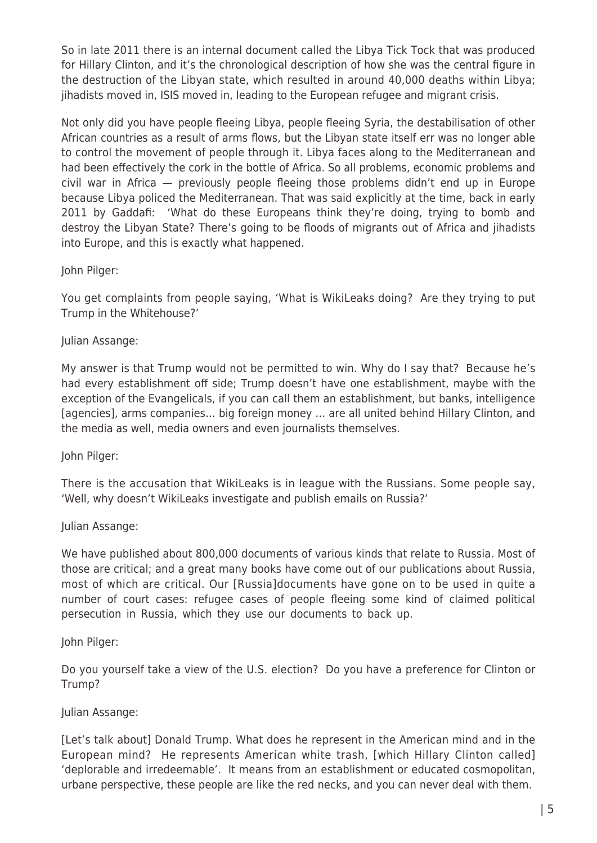So in late 2011 there is an internal document called the Libya Tick Tock that was produced for Hillary Clinton, and it's the chronological description of how she was the central figure in the destruction of the Libyan state, which resulted in around 40,000 deaths within Libya; jihadists moved in, ISIS moved in, leading to the European refugee and migrant crisis.

Not only did you have people fleeing Libya, people fleeing Syria, the destabilisation of other African countries as a result of arms flows, but the Libyan state itself err was no longer able to control the movement of people through it. Libya faces along to the Mediterranean and had been effectively the cork in the bottle of Africa. So all problems, economic problems and civil war in Africa — previously people fleeing those problems didn't end up in Europe because Libya policed the Mediterranean. That was said explicitly at the time, back in early 2011 by Gaddafi: 'What do these Europeans think they're doing, trying to bomb and destroy the Libyan State? There's going to be floods of migrants out of Africa and jihadists into Europe, and this is exactly what happened.

#### John Pilger:

You get complaints from people saying, 'What is WikiLeaks doing? Are they trying to put Trump in the Whitehouse?'

# Julian Assange:

My answer is that Trump would not be permitted to win. Why do I say that? Because he's had every establishment off side; Trump doesn't have one establishment, maybe with the exception of the Evangelicals, if you can call them an establishment, but banks, intelligence [agencies], arms companies… big foreign money … are all united behind Hillary Clinton, and the media as well, media owners and even journalists themselves.

John Pilger:

There is the accusation that WikiLeaks is in league with the Russians. Some people say, 'Well, why doesn't WikiLeaks investigate and publish emails on Russia?'

# Julian Assange:

We have published about 800,000 documents of various kinds that relate to Russia. Most of those are critical; and a great many books have come out of our publications about Russia, most of which are critical. Our [Russia]documents have gone on to be used in quite a number of court cases: refugee cases of people fleeing some kind of claimed political persecution in Russia, which they use our documents to back up.

#### John Pilger:

Do you yourself take a view of the U.S. election? Do you have a preference for Clinton or Trump?

# Julian Assange:

[Let's talk about] Donald Trump. What does he represent in the American mind and in the European mind? He represents American white trash, [which Hillary Clinton called] 'deplorable and irredeemable'. It means from an establishment or educated cosmopolitan, urbane perspective, these people are like the red necks, and you can never deal with them.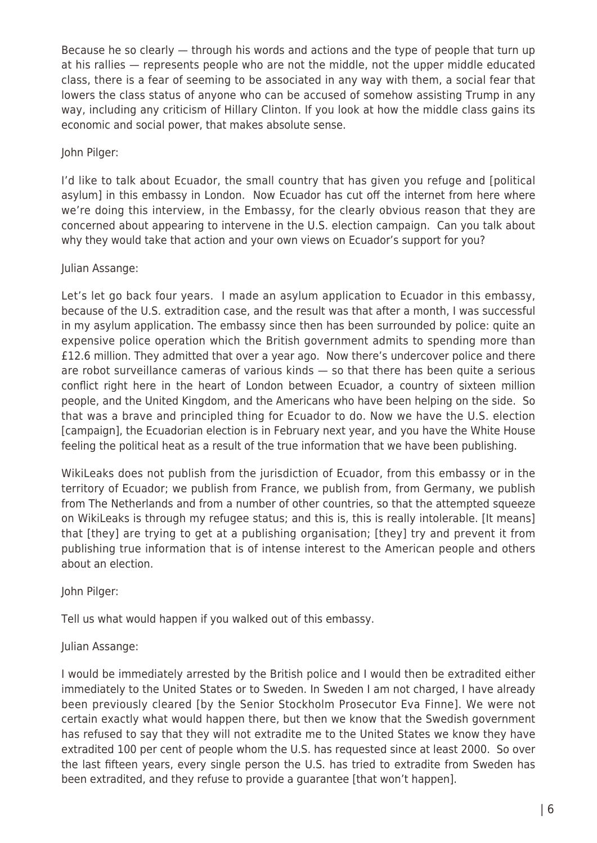Because he so clearly — through his words and actions and the type of people that turn up at his rallies — represents people who are not the middle, not the upper middle educated class, there is a fear of seeming to be associated in any way with them, a social fear that lowers the class status of anyone who can be accused of somehow assisting Trump in any way, including any criticism of Hillary Clinton. If you look at how the middle class gains its economic and social power, that makes absolute sense.

John Pilger:

I'd like to talk about Ecuador, the small country that has given you refuge and [political asylum] in this embassy in London. Now Ecuador has cut off the internet from here where we're doing this interview, in the Embassy, for the clearly obvious reason that they are concerned about appearing to intervene in the U.S. election campaign. Can you talk about why they would take that action and your own views on Ecuador's support for you?

#### Julian Assange:

Let's let go back four years. I made an asylum application to Ecuador in this embassy, because of the U.S. extradition case, and the result was that after a month, I was successful in my asylum application. The embassy since then has been surrounded by police: quite an expensive police operation which the British government admits to spending more than £12.6 million. They admitted that over a year ago. Now there's undercover police and there are robot surveillance cameras of various kinds — so that there has been quite a serious conflict right here in the heart of London between Ecuador, a country of sixteen million people, and the United Kingdom, and the Americans who have been helping on the side. So that was a brave and principled thing for Ecuador to do. Now we have the U.S. election [campaign], the Ecuadorian election is in February next year, and you have the White House feeling the political heat as a result of the true information that we have been publishing.

WikiLeaks does not publish from the jurisdiction of Ecuador, from this embassy or in the territory of Ecuador; we publish from France, we publish from, from Germany, we publish from The Netherlands and from a number of other countries, so that the attempted squeeze on WikiLeaks is through my refugee status; and this is, this is really intolerable. [It means] that [they] are trying to get at a publishing organisation; [they] try and prevent it from publishing true information that is of intense interest to the American people and others about an election.

John Pilger:

Tell us what would happen if you walked out of this embassy.

# Julian Assange:

I would be immediately arrested by the British police and I would then be extradited either immediately to the United States or to Sweden. In Sweden I am not charged, I have already been previously cleared [by the Senior Stockholm Prosecutor Eva Finne]. We were not certain exactly what would happen there, but then we know that the Swedish government has refused to say that they will not extradite me to the United States we know they have extradited 100 per cent of people whom the U.S. has requested since at least 2000. So over the last fifteen years, every single person the U.S. has tried to extradite from Sweden has been extradited, and they refuse to provide a guarantee [that won't happen].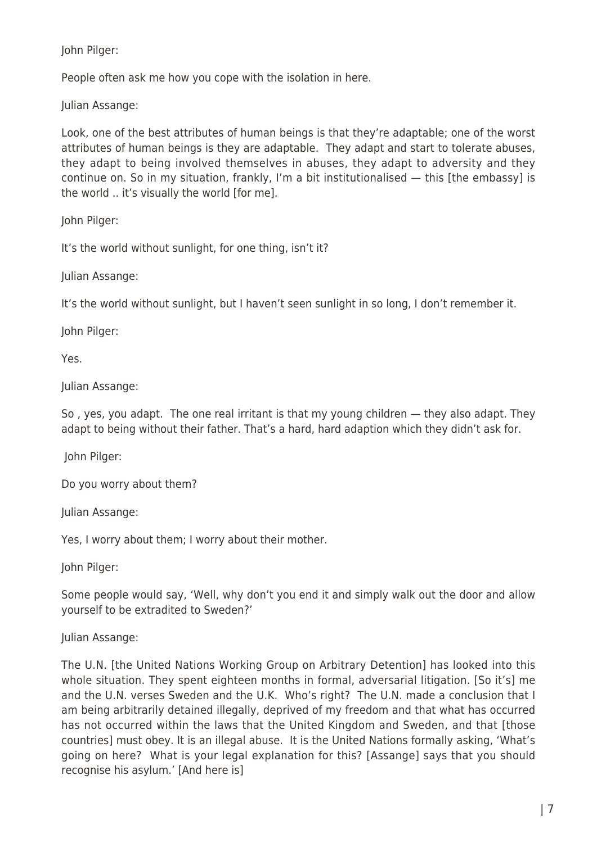John Pilger:

People often ask me how you cope with the isolation in here.

Julian Assange:

Look, one of the best attributes of human beings is that they're adaptable; one of the worst attributes of human beings is they are adaptable. They adapt and start to tolerate abuses, they adapt to being involved themselves in abuses, they adapt to adversity and they continue on. So in my situation, frankly, I'm a bit institutionalised — this [the embassy] is the world .. it's visually the world [for me].

John Pilger:

It's the world without sunlight, for one thing, isn't it?

Julian Assange:

It's the world without sunlight, but I haven't seen sunlight in so long, I don't remember it.

John Pilger:

Yes.

Julian Assange:

So , yes, you adapt. The one real irritant is that my young children — they also adapt. They adapt to being without their father. That's a hard, hard adaption which they didn't ask for.

John Pilger:

Do you worry about them?

Julian Assange:

Yes, I worry about them; I worry about their mother.

John Pilger:

Some people would say, 'Well, why don't you end it and simply walk out the door and allow yourself to be extradited to Sweden?'

Julian Assange:

The U.N. [the United Nations Working Group on Arbitrary Detention] has looked into this whole situation. They spent eighteen months in formal, adversarial litigation. [So it's] me and the U.N. verses Sweden and the U.K. Who's right? The U.N. made a conclusion that I am being arbitrarily detained illegally, deprived of my freedom and that what has occurred has not occurred within the laws that the United Kingdom and Sweden, and that [those countries] must obey. It is an illegal abuse. It is the United Nations formally asking, 'What's going on here? What is your legal explanation for this? [Assange] says that you should recognise his asylum.' [And here is]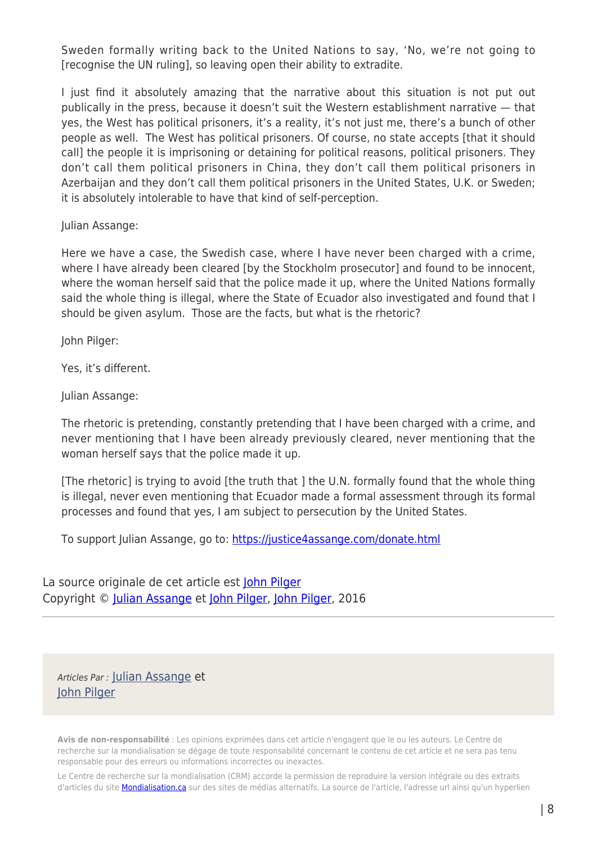Sweden formally writing back to the United Nations to say, 'No, we're not going to [recognise the UN ruling], so leaving open their ability to extradite.

I just find it absolutely amazing that the narrative about this situation is not put out publically in the press, because it doesn't suit the Western establishment narrative — that yes, the West has political prisoners, it's a reality, it's not just me, there's a bunch of other people as well. The West has political prisoners. Of course, no state accepts [that it should call] the people it is imprisoning or detaining for political reasons, political prisoners. They don't call them political prisoners in China, they don't call them political prisoners in Azerbaijan and they don't call them political prisoners in the United States, U.K. or Sweden; it is absolutely intolerable to have that kind of self-perception.

Julian Assange:

Here we have a case, the Swedish case, where I have never been charged with a crime, where I have already been cleared [by the Stockholm prosecutor] and found to be innocent, where the woman herself said that the police made it up, where the United Nations formally said the whole thing is illegal, where the State of Ecuador also investigated and found that I should be given asylum. Those are the facts, but what is the rhetoric?

John Pilger:

Yes, it's different.

Julian Assange:

The rhetoric is pretending, constantly pretending that I have been charged with a crime, and never mentioning that I have been already previously cleared, never mentioning that the woman herself says that the police made it up.

[The rhetoric] is trying to avoid [the truth that ] the U.N. formally found that the whole thing is illegal, never even mentioning that Ecuador made a formal assessment through its formal processes and found that yes, I am subject to persecution by the United States.

To support Julian Assange, go to: <https://justice4assange.com/donate.html>

La source originale de cet article est [John Pilger](http:/www.johnpilger.com) Copyright © [Julian Assange](https://www.mondialisation.ca/author/julian-assange) et [John Pilger](https://www.mondialisation.ca/author/john-pilger), [John Pilger,](http:/www.johnpilger.com) 2016

Articles Par : [Julian Assange](https://www.mondialisation.ca/author/julian-assange) et [John Pilger](https://www.mondialisation.ca/author/john-pilger)

**Avis de non-responsabilité** : Les opinions exprimées dans cet article n'engagent que le ou les auteurs. Le Centre de recherche sur la mondialisation se dégage de toute responsabilité concernant le contenu de cet article et ne sera pas tenu responsable pour des erreurs ou informations incorrectes ou inexactes.

Le Centre de recherche sur la mondialisation (CRM) accorde la permission de reproduire la version intégrale ou des extraits d'articles du site **Mondialisation.ca** sur des sites de médias alternatifs. La source de l'article, l'adresse url ainsi qu'un hyperlien